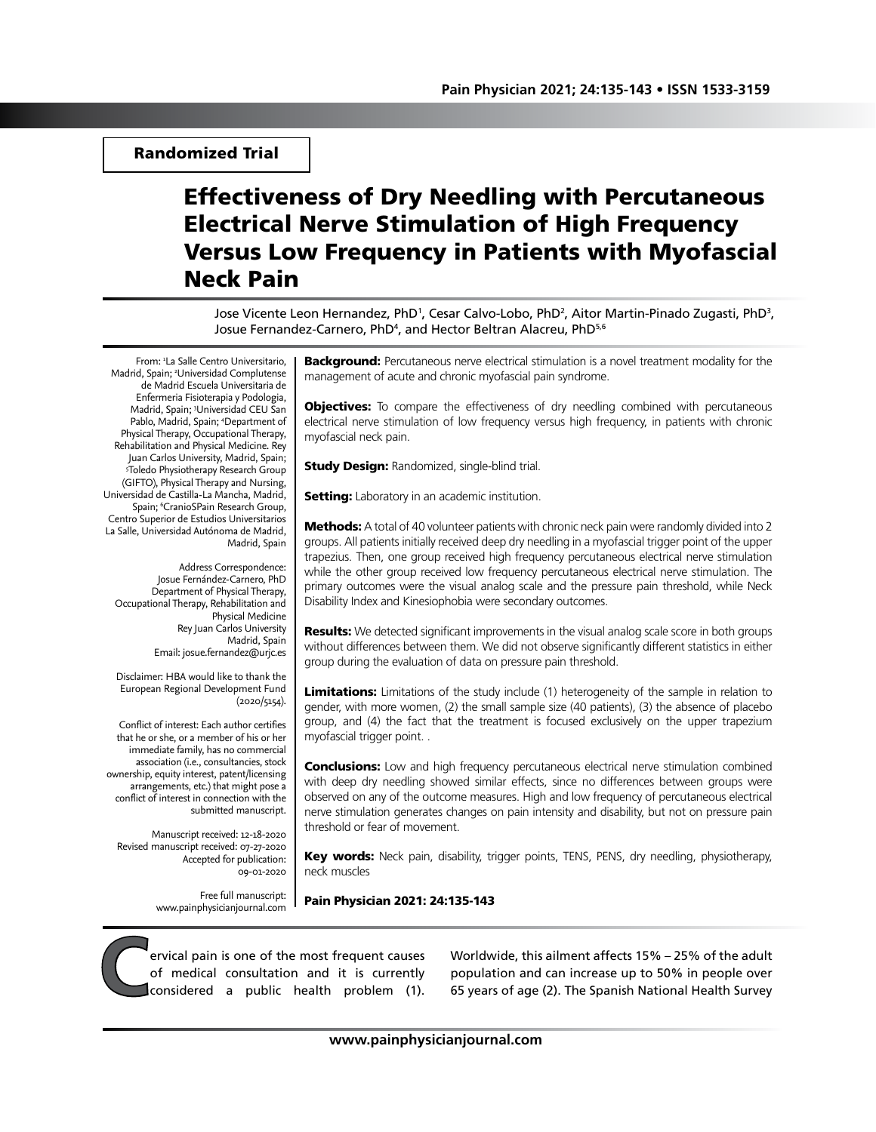## Randomized Trial

# Effectiveness of Dry Needling with Percutaneous Electrical Nerve Stimulation of High Frequency Versus Low Frequency in Patients with Myofascial Neck Pain

Jose Vicente Leon Hernandez, PhD<sup>1</sup>, Cesar Calvo-Lobo, PhD<sup>2</sup>, Aitor Martin-Pinado Zugasti, PhD<sup>3</sup>, Josue Fernandez-Carnero, PhD4 , and Hector Beltran Alacreu, PhD5,6

From: 1 La Salle Centro Universitario, Madrid, Spain; 2 Universidad Complutense de Madrid Escuela Universitaria de Enfermeria Fisioterapia y Podologia, Madrid, Spain; 3 Universidad CEU San Pablo, Madrid, Spain; 4 Department of Physical Therapy, Occupational Therapy, Rehabilitation and Physical Medicine. Rey Juan Carlos University, Madrid, Spain; 5 Toledo Physiotherapy Research Group (GIFTO), Physical Therapy and Nursing, Universidad de Castilla-La Mancha, Madrid, Spain; <sup>6</sup>CranioSPain Research Group, Centro Superior de Estudios Universitarios La Salle, Universidad Autónoma de Madrid, Madrid, Spain

Address Correspondence: Josue Fernández-Carnero, PhD Department of Physical Therapy, Occupational Therapy, Rehabilitation and Physical Medicine Rey Juan Carlos University Madrid, Spain Email: josue.fernandez@urjc.es

Disclaimer: HBA would like to thank the European Regional Development Fund (2020/5154).

Conflict of interest: Each author certifies that he or she, or a member of his or her immediate family, has no commercial association (i.e., consultancies, stock ownership, equity interest, patent/licensing arrangements, etc.) that might pose a conflict of interest in connection with the submitted manuscript.

Manuscript received: 12-18-2020 Revised manuscript received: 07-27-2020 Accepted for publication: 09-01-2020

> Free full manuscript: www.painphysicianjournal.com

**Background:** Percutaneous nerve electrical stimulation is a novel treatment modality for the management of acute and chronic myofascial pain syndrome.

**Objectives:** To compare the effectiveness of dry needling combined with percutaneous electrical nerve stimulation of low frequency versus high frequency, in patients with chronic myofascial neck pain.

**Study Design: Randomized, single-blind trial.** 

**Setting:** Laboratory in an academic institution.

Methods: A total of 40 volunteer patients with chronic neck pain were randomly divided into 2 groups. All patients initially received deep dry needling in a myofascial trigger point of the upper trapezius. Then, one group received high frequency percutaneous electrical nerve stimulation while the other group received low frequency percutaneous electrical nerve stimulation. The primary outcomes were the visual analog scale and the pressure pain threshold, while Neck Disability Index and Kinesiophobia were secondary outcomes.

**Results:** We detected significant improvements in the visual analog scale score in both groups without differences between them. We did not observe significantly different statistics in either group during the evaluation of data on pressure pain threshold.

Limitations: Limitations of the study include (1) heterogeneity of the sample in relation to gender, with more women, (2) the small sample size (40 patients), (3) the absence of placebo group, and (4) the fact that the treatment is focused exclusively on the upper trapezium myofascial trigger point. .

**Conclusions:** Low and high frequency percutaneous electrical nerve stimulation combined with deep dry needling showed similar effects, since no differences between groups were observed on any of the outcome measures. High and low frequency of percutaneous electrical nerve stimulation generates changes on pain intensity and disability, but not on pressure pain threshold or fear of movement.

Key words: Neck pain, disability, trigger points, TENS, PENS, dry needling, physiotherapy, neck muscles

Pain Physician 2021: 24:135-143

**C**ervical pain is one of the most frequent causes<br>of medical consultation and it is currently<br>considered a public health problem (1). of medical consultation and it is currently considered a public health problem (1).

Worldwide, this ailment affects 15% – 25% of the adult population and can increase up to 50% in people over 65 years of age (2). The Spanish National Health Survey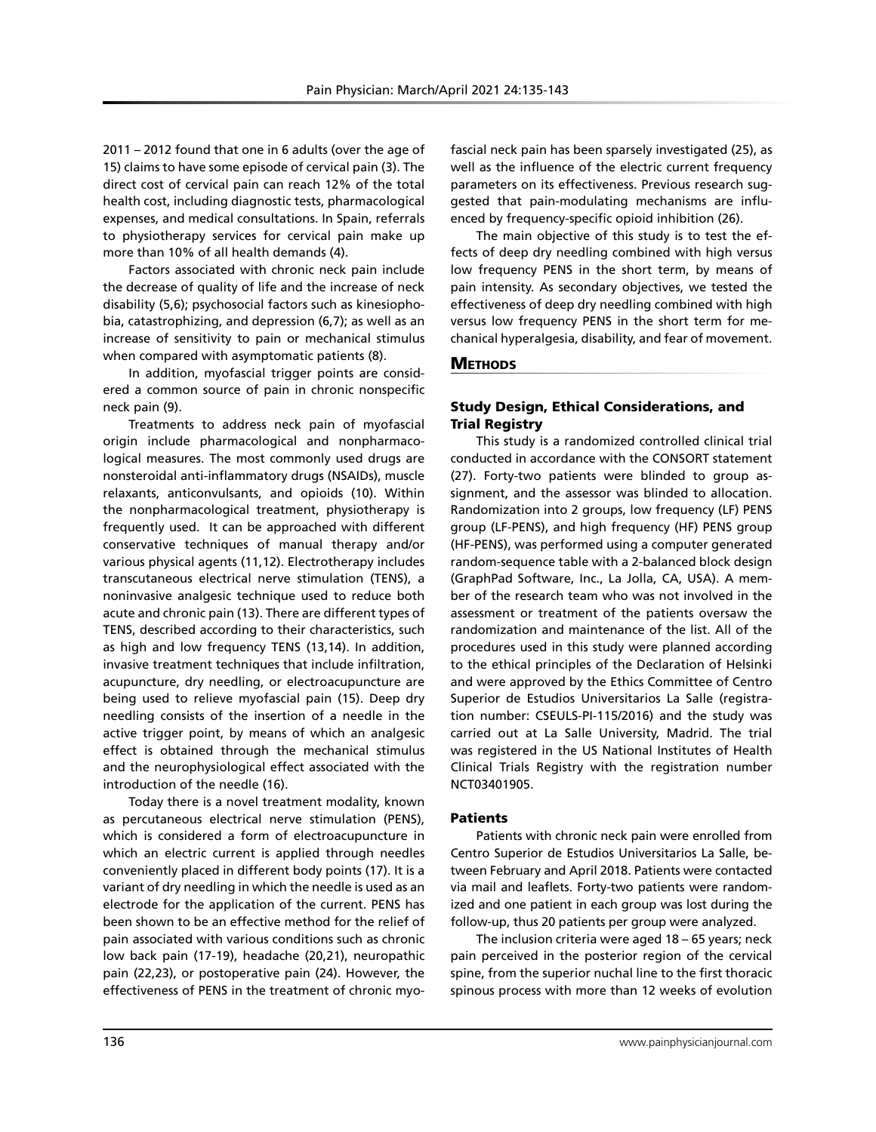2011 – 2012 found that one in 6 adults (over the age of 15) claims to have some episode of cervical pain (3). The direct cost of cervical pain can reach 12% of the total health cost, including diagnostic tests, pharmacological expenses, and medical consultations. In Spain, referrals to physiotherapy services for cervical pain make up more than 10% of all health demands (4).

Factors associated with chronic neck pain include the decrease of quality of life and the increase of neck disability (5,6); psychosocial factors such as kinesiophobia, catastrophizing, and depression (6,7); as well as an increase of sensitivity to pain or mechanical stimulus when compared with asymptomatic patients (8).

In addition, myofascial trigger points are considered a common source of pain in chronic nonspecific neck pain (9).

Treatments to address neck pain of myofascial origin include pharmacological and nonpharmacological measures. The most commonly used drugs are nonsteroidal anti-inflammatory drugs (NSAIDs), muscle relaxants, anticonvulsants, and opioids (10). Within the nonpharmacological treatment, physiotherapy is frequently used. It can be approached with different conservative techniques of manual therapy and/or various physical agents (11,12). Electrotherapy includes transcutaneous electrical nerve stimulation (TENS), a noninvasive analgesic technique used to reduce both acute and chronic pain (13). There are different types of TENS, described according to their characteristics, such as high and low frequency TENS (13,14). In addition, invasive treatment techniques that include infiltration, acupuncture, dry needling, or electroacupuncture are being used to relieve myofascial pain (15). Deep dry needling consists of the insertion of a needle in the active trigger point, by means of which an analgesic effect is obtained through the mechanical stimulus and the neurophysiological effect associated with the introduction of the needle (16).

Today there is a novel treatment modality, known as percutaneous electrical nerve stimulation (PENS), which is considered a form of electroacupuncture in which an electric current is applied through needles conveniently placed in different body points (17). It is a variant of dry needling in which the needle is used as an electrode for the application of the current. PENS has been shown to be an effective method for the relief of pain associated with various conditions such as chronic low back pain (17-19), headache (20,21), neuropathic pain (22,23), or postoperative pain (24). However, the effectiveness of PENS in the treatment of chronic myofascial neck pain has been sparsely investigated (25), as well as the influence of the electric current frequency parameters on its effectiveness. Previous research suggested that pain-modulating mechanisms are influenced by frequency-specific opioid inhibition (26).

The main objective of this study is to test the effects of deep dry needling combined with high versus low frequency PENS in the short term, by means of pain intensity. As secondary objectives, we tested the effectiveness of deep dry needling combined with high versus low frequency PENS in the short term for mechanical hyperalgesia, disability, and fear of movement.

## **METHODS**

## Study Design, Ethical Considerations, and Trial Registry

This study is a randomized controlled clinical trial conducted in accordance with the CONSORT statement (27). Forty-two patients were blinded to group assignment, and the assessor was blinded to allocation. Randomization into 2 groups, low frequency (LF) PENS group (LF-PENS), and high frequency (HF) PENS group (HF-PENS), was performed using a computer generated random-sequence table with a 2-balanced block design (GraphPad Software, Inc., La Jolla, CA, USA). A member of the research team who was not involved in the assessment or treatment of the patients oversaw the randomization and maintenance of the list. All of the procedures used in this study were planned according to the ethical principles of the Declaration of Helsinki and were approved by the Ethics Committee of Centro Superior de Estudios Universitarios La Salle (registration number: CSEULS-PI-115/2016) and the study was carried out at La Salle University, Madrid. The trial was registered in the US National Institutes of Health Clinical Trials Registry with the registration number NCT03401905.

## Patients

Patients with chronic neck pain were enrolled from Centro Superior de Estudios Universitarios La Salle, between February and April 2018. Patients were contacted via mail and leaflets. Forty-two patients were randomized and one patient in each group was lost during the follow-up, thus 20 patients per group were analyzed.

The inclusion criteria were aged 18 – 65 years; neck pain perceived in the posterior region of the cervical spine, from the superior nuchal line to the first thoracic spinous process with more than 12 weeks of evolution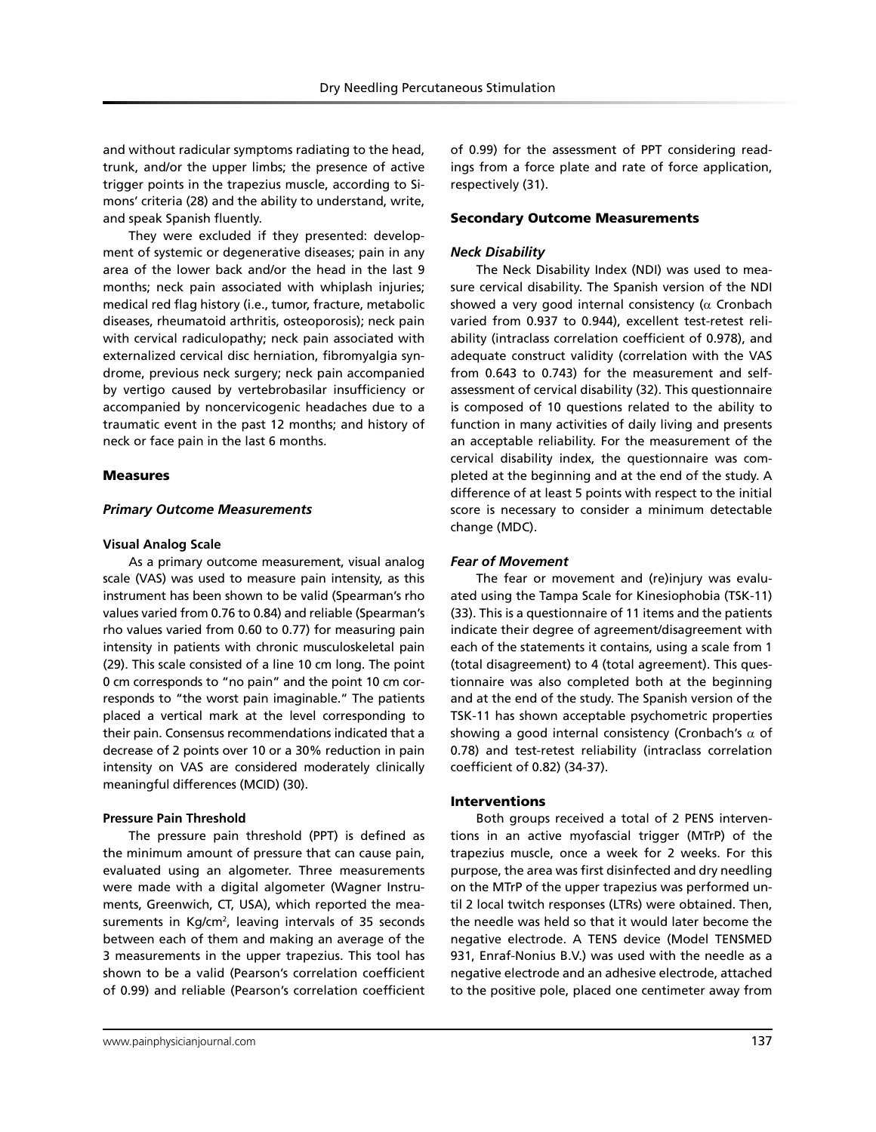and without radicular symptoms radiating to the head, trunk, and/or the upper limbs; the presence of active trigger points in the trapezius muscle, according to Simons' criteria (28) and the ability to understand, write, and speak Spanish fluently.

They were excluded if they presented: development of systemic or degenerative diseases; pain in any area of the lower back and/or the head in the last 9 months; neck pain associated with whiplash injuries; medical red flag history (i.e., tumor, fracture, metabolic diseases, rheumatoid arthritis, osteoporosis); neck pain with cervical radiculopathy; neck pain associated with externalized cervical disc herniation, fibromyalgia syndrome, previous neck surgery; neck pain accompanied by vertigo caused by vertebrobasilar insufficiency or accompanied by noncervicogenic headaches due to a traumatic event in the past 12 months; and history of neck or face pain in the last 6 months.

### Measures

### *Primary Outcome Measurements*

### **Visual Analog Scale**

As a primary outcome measurement, visual analog scale (VAS) was used to measure pain intensity, as this instrument has been shown to be valid (Spearman's rho values varied from 0.76 to 0.84) and reliable (Spearman's rho values varied from 0.60 to 0.77) for measuring pain intensity in patients with chronic musculoskeletal pain (29). This scale consisted of a line 10 cm long. The point 0 cm corresponds to "no pain" and the point 10 cm corresponds to "the worst pain imaginable." The patients placed a vertical mark at the level corresponding to their pain. Consensus recommendations indicated that a decrease of 2 points over 10 or a 30% reduction in pain intensity on VAS are considered moderately clinically meaningful differences (MCID) (30).

### **Pressure Pain Threshold**

The pressure pain threshold (PPT) is defined as the minimum amount of pressure that can cause pain, evaluated using an algometer. Three measurements were made with a digital algometer (Wagner Instruments, Greenwich, CT, USA), which reported the measurements in Kg/cm<sup>2</sup>, leaving intervals of 35 seconds between each of them and making an average of the 3 measurements in the upper trapezius. This tool has shown to be a valid (Pearson's correlation coefficient of 0.99) and reliable (Pearson's correlation coefficient

of 0.99) for the assessment of PPT considering readings from a force plate and rate of force application, respectively (31).

### Secondary Outcome Measurements

### *Neck Disability*

The Neck Disability Index (NDI) was used to measure cervical disability. The Spanish version of the NDI showed a very good internal consistency ( $\alpha$  Cronbach varied from 0.937 to 0.944), excellent test-retest reliability (intraclass correlation coefficient of 0.978), and adequate construct validity (correlation with the VAS from 0.643 to 0.743) for the measurement and selfassessment of cervical disability (32). This questionnaire is composed of 10 questions related to the ability to function in many activities of daily living and presents an acceptable reliability. For the measurement of the cervical disability index, the questionnaire was completed at the beginning and at the end of the study. A difference of at least 5 points with respect to the initial score is necessary to consider a minimum detectable change (MDC).

## *Fear of Movement*

The fear or movement and (re)injury was evaluated using the Tampa Scale for Kinesiophobia (TSK-11) (33). This is a questionnaire of 11 items and the patients indicate their degree of agreement/disagreement with each of the statements it contains, using a scale from 1 (total disagreement) to 4 (total agreement). This questionnaire was also completed both at the beginning and at the end of the study. The Spanish version of the TSK-11 has shown acceptable psychometric properties showing a good internal consistency (Cronbach's  $\alpha$  of 0.78) and test-retest reliability (intraclass correlation coefficient of 0.82) (34-37).

## **Interventions**

Both groups received a total of 2 PENS interventions in an active myofascial trigger (MTrP) of the trapezius muscle, once a week for 2 weeks. For this purpose, the area was first disinfected and dry needling on the MTrP of the upper trapezius was performed until 2 local twitch responses (LTRs) were obtained. Then, the needle was held so that it would later become the negative electrode. A TENS device (Model TENSMED 931, Enraf-Nonius B.V.) was used with the needle as a negative electrode and an adhesive electrode, attached to the positive pole, placed one centimeter away from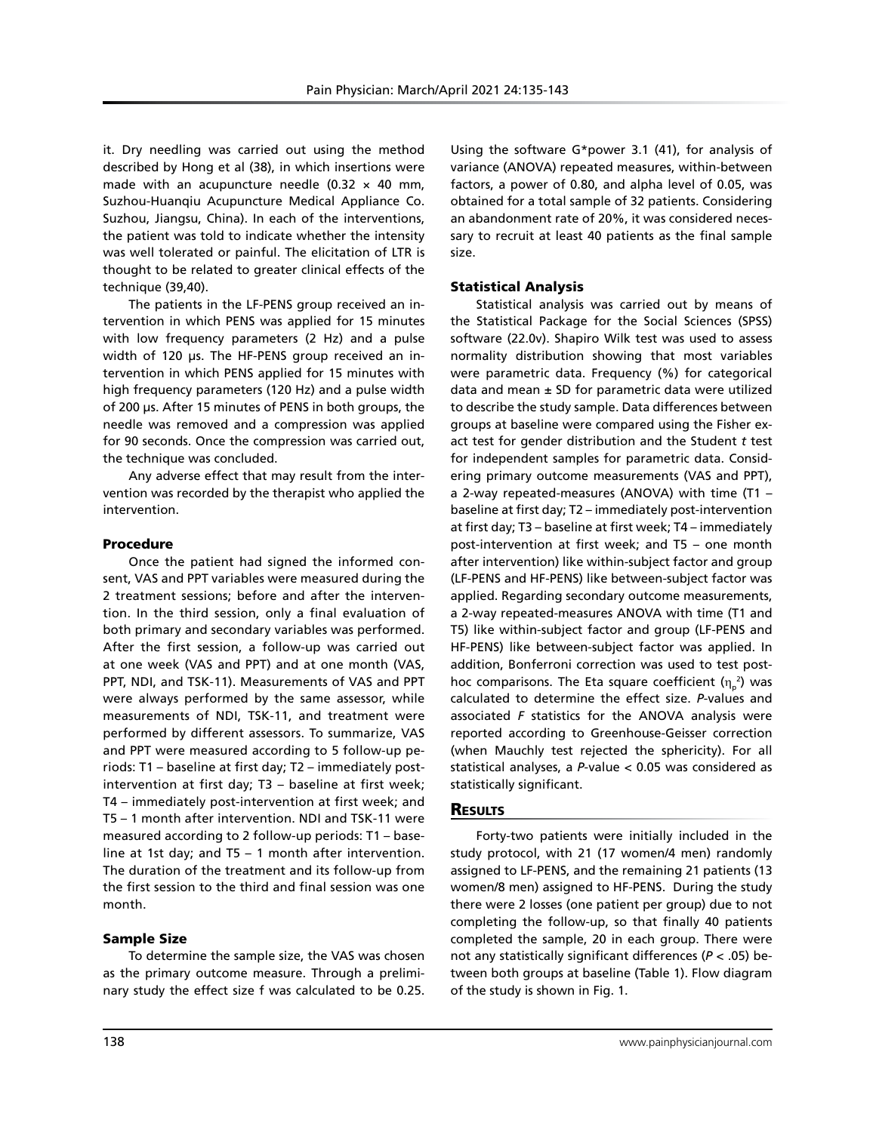it. Dry needling was carried out using the method described by Hong et al (38), in which insertions were made with an acupuncture needle  $(0.32 \times 40 \text{ mm})$ , Suzhou-Huanqiu Acupuncture Medical Appliance Co. Suzhou, Jiangsu, China). In each of the interventions, the patient was told to indicate whether the intensity was well tolerated or painful. The elicitation of LTR is thought to be related to greater clinical effects of the technique (39,40).

The patients in the LF-PENS group received an intervention in which PENS was applied for 15 minutes with low frequency parameters (2 Hz) and a pulse width of 120 μs. The HF-PENS group received an intervention in which PENS applied for 15 minutes with high frequency parameters (120 Hz) and a pulse width of 200 μs. After 15 minutes of PENS in both groups, the needle was removed and a compression was applied for 90 seconds. Once the compression was carried out, the technique was concluded.

Any adverse effect that may result from the intervention was recorded by the therapist who applied the intervention.

## Procedure

Once the patient had signed the informed consent, VAS and PPT variables were measured during the 2 treatment sessions; before and after the intervention. In the third session, only a final evaluation of both primary and secondary variables was performed. After the first session, a follow-up was carried out at one week (VAS and PPT) and at one month (VAS, PPT, NDI, and TSK-11). Measurements of VAS and PPT were always performed by the same assessor, while measurements of NDI, TSK-11, and treatment were performed by different assessors. To summarize, VAS and PPT were measured according to 5 follow-up periods: T1 – baseline at first day; T2 – immediately postintervention at first day; T3 – baseline at first week; T4 – immediately post-intervention at first week; and T5 – 1 month after intervention. NDI and TSK-11 were measured according to 2 follow-up periods: T1 – baseline at 1st day; and T5 – 1 month after intervention. The duration of the treatment and its follow-up from the first session to the third and final session was one month.

## Sample Size

To determine the sample size, the VAS was chosen as the primary outcome measure. Through a preliminary study the effect size f was calculated to be 0.25. Using the software G\*power 3.1 (41), for analysis of variance (ANOVA) repeated measures, within-between factors, a power of 0.80, and alpha level of 0.05, was obtained for a total sample of 32 patients. Considering an abandonment rate of 20%, it was considered necessary to recruit at least 40 patients as the final sample size.

## Statistical Analysis

Statistical analysis was carried out by means of the Statistical Package for the Social Sciences (SPSS) software (22.0v). Shapiro Wilk test was used to assess normality distribution showing that most variables were parametric data. Frequency (%) for categorical data and mean  $\pm$  SD for parametric data were utilized to describe the study sample. Data differences between groups at baseline were compared using the Fisher exact test for gender distribution and the Student *t* test for independent samples for parametric data. Considering primary outcome measurements (VAS and PPT), a 2-way repeated-measures (ANOVA) with time (T1 – baseline at first day; T2 – immediately post-intervention at first day; T3 – baseline at first week; T4 – immediately post-intervention at first week; and T5 – one month after intervention) like within-subject factor and group (LF-PENS and HF-PENS) like between-subject factor was applied. Regarding secondary outcome measurements, a 2-way repeated-measures ANOVA with time (T1 and T5) like within-subject factor and group (LF-PENS and HF-PENS) like between-subject factor was applied. In addition, Bonferroni correction was used to test posthoc comparisons. The Eta square coefficient (η<sup>p</sup> 2 ) was calculated to determine the effect size. *P*-values and associated *F* statistics for the ANOVA analysis were reported according to Greenhouse-Geisser correction (when Mauchly test rejected the sphericity). For all statistical analyses, a *P*-value < 0.05 was considered as statistically significant.

## **RESULTS**

Forty-two patients were initially included in the study protocol, with 21 (17 women/4 men) randomly assigned to LF-PENS, and the remaining 21 patients (13 women/8 men) assigned to HF-PENS. During the study there were 2 losses (one patient per group) due to not completing the follow-up, so that finally 40 patients completed the sample, 20 in each group. There were not any statistically significant differences (*P* < .05) between both groups at baseline (Table 1). Flow diagram of the study is shown in Fig. 1.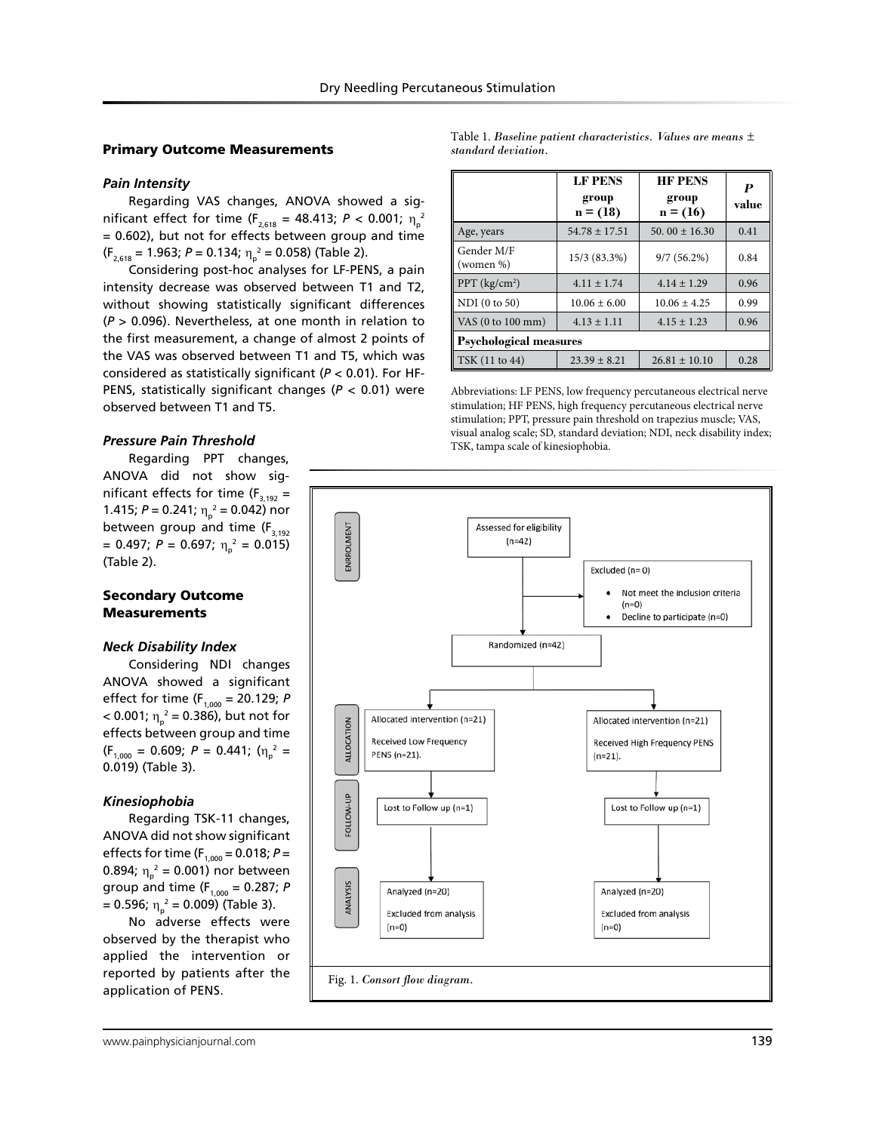## Primary Outcome Measurements

## *Pain Intensity*

Regarding VAS changes, ANOVA showed a sig- $\text{mificant effect for time (F}_{_{2,618}} = 48.413; P < 0.001; \; \eta_{\text{p}}^{\text{2}}$ = 0.602), but not for effects between group and time  $(F_{2,618} = 1.963; P = 0.134; \eta_p^2 = 0.058)$  (Table 2).

Considering post-hoc analyses for LF-PENS, a pain intensity decrease was observed between T1 and T2, without showing statistically significant differences (*P* > 0.096). Nevertheless, at one month in relation to the first measurement, a change of almost 2 points of the VAS was observed between T1 and T5, which was considered as statistically significant (*P* < 0.01). For HF-PENS, statistically significant changes (*P* < 0.01) were observed between T1 and T5.

## *Pressure Pain Threshold*

Regarding PPT changes, ANOVA did not show significant effects for time  $(F_{3,192} =$ 1.415;  $P = 0.241$ ;  $\eta_p^2 = 0.042$ ) nor between group and time  $(F_{3,192})$  $= 0.497; P = 0.697; \eta_p^2 = 0.015$ (Table 2).

### Secondary Outcome **Measurements**

### *Neck Disability Index*

Considering NDI changes ANOVA showed a significant effect for time (F<sub>1,000</sub> = 20.129; *P*  $<$  0.001;  $\eta_{\text{p}}^2$  = 0.386), but not for effects between group and time  $(F_{1,000} = 0.609; P = 0.441; (\eta_p^2 =$ 0.019) (Table 3).

### *Kinesiophobia*

Regarding TSK-11 changes, ANOVA did not show significant effects for time ( $F_{1,000} = 0.018$ ;  $P =$ 0.894;  $\eta_{p}^{2} = 0.001$ ) nor between group and time ( $F_{1,000} = 0.287$ ; *P* = 0.596; η<sub>ρ</sub><sup>2</sup> = 0.009) (Table 3).

No adverse effects were observed by the therapist who applied the intervention or reported by patients after the application of PENS.

Table 1. *Baseline patient characteristics. Values are means ± standard deviation.*

|                               | <b>LF PENS</b><br>group<br>$n = (18)$ | <b>HF PENS</b><br>group<br>$n = (16)$ | P<br>value |  |  |  |
|-------------------------------|---------------------------------------|---------------------------------------|------------|--|--|--|
| Age, years                    | $54.78 \pm 17.51$                     | 50, 00 $\pm$ 16.30                    | 0.41       |  |  |  |
| Gender M/F<br>(women %)       | 15/3 (83.3%)                          | $9/7(56.2\%)$                         | 0.84       |  |  |  |
| $PPT$ (kg/cm <sup>2</sup> )   | $4.11 \pm 1.74$                       | $4.14 \pm 1.29$                       | 0.96       |  |  |  |
| NDI (0 to 50)                 | $10.06 \pm 6.00$                      | $10.06 \pm 4.25$                      | 0.99       |  |  |  |
| VAS (0 to 100 mm)             | $4.13 \pm 1.11$                       | $4.15 \pm 1.23$                       | 0.96       |  |  |  |
| <b>Psychological measures</b> |                                       |                                       |            |  |  |  |
| TSK (11 to 44)                | $23.39 \pm 8.21$                      | $26.81 \pm 10.10$                     | 0.28       |  |  |  |

Abbreviations: LF PENS, low frequency percutaneous electrical nerve stimulation; HF PENS, high frequency percutaneous electrical nerve stimulation; PPT, pressure pain threshold on trapezius muscle; VAS, visual analog scale; SD, standard deviation; NDI, neck disability index; TSK, tampa scale of kinesiophobia.

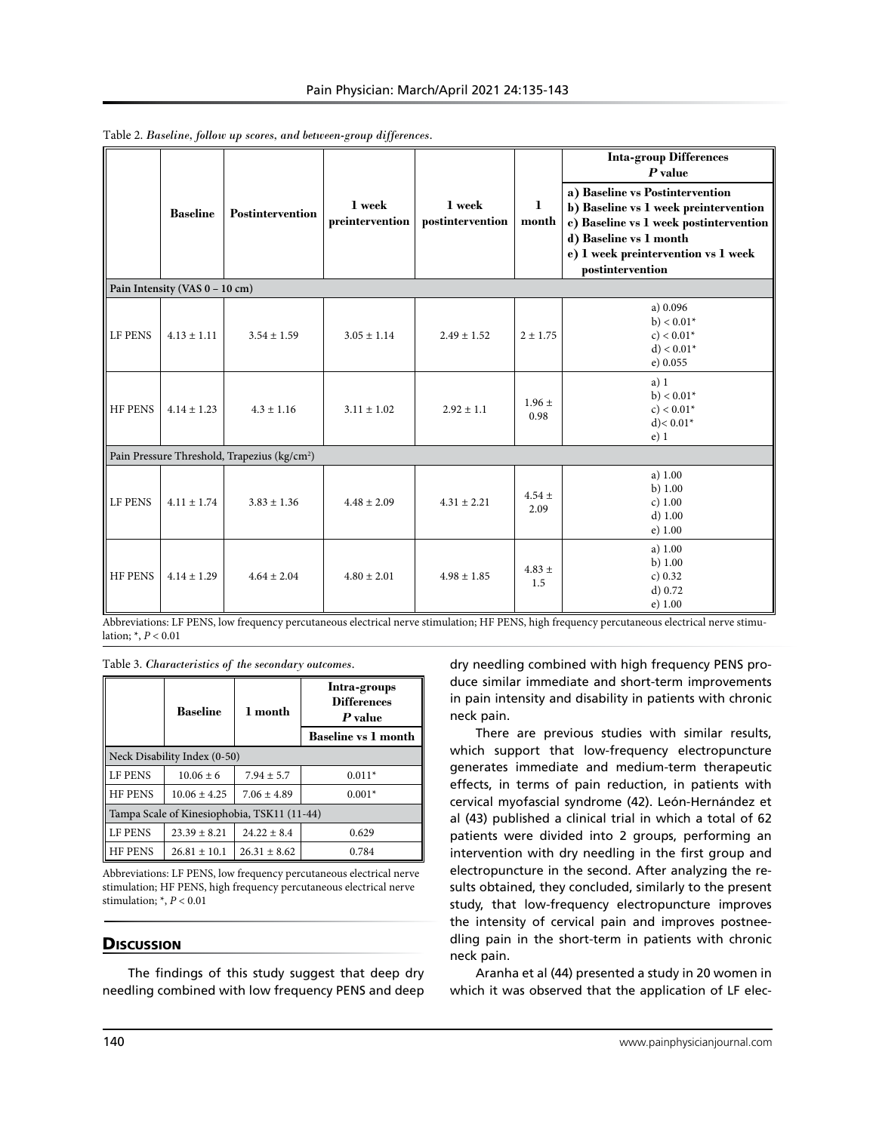|                                                          | <b>Baseline</b> | <b>Postintervention</b> | 1 week<br>preintervention | 1 week<br>postintervention | 1<br>month         | <b>Inta-group Differences</b><br>$P$ value<br>a) Baseline vs Postintervention<br>b) Baseline vs 1 week preintervention<br>c) Baseline vs 1 week postintervention<br>d) Baseline vs 1 month<br>e) 1 week preintervention vs 1 week<br>postintervention |  |
|----------------------------------------------------------|-----------------|-------------------------|---------------------------|----------------------------|--------------------|-------------------------------------------------------------------------------------------------------------------------------------------------------------------------------------------------------------------------------------------------------|--|
| Pain Intensity (VAS 0 - 10 cm)                           |                 |                         |                           |                            |                    |                                                                                                                                                                                                                                                       |  |
| LF PENS                                                  | $4.13 \pm 1.11$ | $3.54 \pm 1.59$         | $3.05 \pm 1.14$           | $2.49 \pm 1.52$            | $2 \pm 1.75$       | a) 0.096<br>$b$ ) < $0.01*$<br>$c$ ) < 0.01*<br>$d$ ) < 0.01*<br>e) 0.055                                                                                                                                                                             |  |
| <b>HF PENS</b>                                           | $4.14 \pm 1.23$ | $4.3 \pm 1.16$          | $3.11 \pm 1.02$           | $2.92 \pm 1.1$             | $1.96 \pm$<br>0.98 | a) 1<br>$b) < 0.01*$<br>$c$ ) < 0.01*<br>$d$ ) < 0.01*<br>$e)$ 1                                                                                                                                                                                      |  |
| Pain Pressure Threshold, Trapezius (kg/cm <sup>2</sup> ) |                 |                         |                           |                            |                    |                                                                                                                                                                                                                                                       |  |
| LF PENS                                                  | $4.11 \pm 1.74$ | $3.83 \pm 1.36$         | $4.48 \pm 2.09$           | $4.31 \pm 2.21$            | $4.54 \pm$<br>2.09 | a) $1.00$<br>b) $1.00$<br>c) 1.00<br>d) 1.00<br>$e)$ 1.00                                                                                                                                                                                             |  |
| <b>HF PENS</b>                                           | $4.14 \pm 1.29$ | $4.64 \pm 2.04$         | $4.80 \pm 2.01$           | $4.98 \pm 1.85$            | $4.83 \pm$<br>1.5  | a) 1.00<br>b) $1.00$<br>c) 0.32<br>d) 0.72<br>e) 1.00                                                                                                                                                                                                 |  |

Table 2. *Baseline, follow up scores, and between-group differences.*

Abbreviations: LF PENS, low frequency percutaneous electrical nerve stimulation; HF PENS, high frequency percutaneous electrical nerve stimulation; \*, *P* < 0.01

Table 3. *Characteristics of the secondary outcomes.*

|                                             | <b>Baseline</b>  | 1 month          | Intra-groups<br><b>Differences</b><br>P value |  |  |  |
|---------------------------------------------|------------------|------------------|-----------------------------------------------|--|--|--|
|                                             |                  |                  | <b>Baseline vs 1 month</b>                    |  |  |  |
| Neck Disability Index (0-50)                |                  |                  |                                               |  |  |  |
| <b>LE PENS</b>                              | $10.06 + 6$      | $7.94 \pm 5.7$   | $0.011*$                                      |  |  |  |
| <b>HF PENS</b>                              | $10.06 \pm 4.25$ | $7.06 + 4.89$    | $0.001*$                                      |  |  |  |
| Tampa Scale of Kinesiophobia, TSK11 (11-44) |                  |                  |                                               |  |  |  |
| LF PENS                                     | $23.39 + 8.21$   | $24.22 \pm 8.4$  | 0.629                                         |  |  |  |
| <b>HE PENS</b>                              | $26.81 \pm 10.1$ | $26.31 \pm 8.62$ | 0.784                                         |  |  |  |

Abbreviations: LF PENS, low frequency percutaneous electrical nerve stimulation; HF PENS, high frequency percutaneous electrical nerve stimulation; \*, *P* < 0.01

## **Discussion**

The findings of this study suggest that deep dry needling combined with low frequency PENS and deep dry needling combined with high frequency PENS produce similar immediate and short-term improvements in pain intensity and disability in patients with chronic neck pain.

There are previous studies with similar results, which support that low-frequency electropuncture generates immediate and medium-term therapeutic effects, in terms of pain reduction, in patients with cervical myofascial syndrome (42). León-Hernández et al (43) published a clinical trial in which a total of 62 patients were divided into 2 groups, performing an intervention with dry needling in the first group and electropuncture in the second. After analyzing the results obtained, they concluded, similarly to the present study, that low-frequency electropuncture improves the intensity of cervical pain and improves postneedling pain in the short-term in patients with chronic neck pain.

Aranha et al (44) presented a study in 20 women in which it was observed that the application of LF elec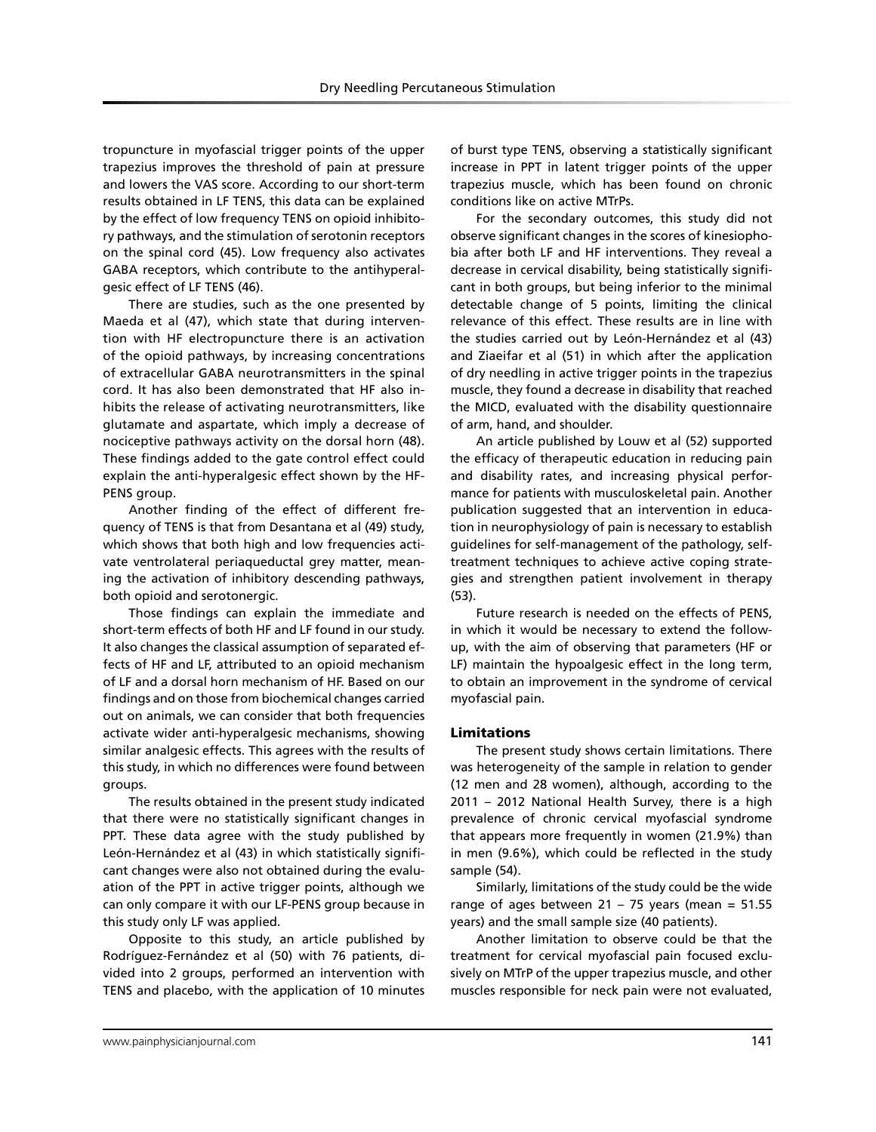Dry Needling Percutaneous Stimulation

tropuncture in myofascial trigger points of the upper trapezius improves the threshold of pain at pressure and lowers the VAS score. According to our short-term results obtained in LF TENS, this data can be explained by the effect of low frequency TENS on opioid inhibitory pathways, and the stimulation of serotonin receptors on the spinal cord (45). Low frequency also activates GABA receptors, which contribute to the antihyperalgesic effect of LF TENS (46).

There are studies, such as the one presented by Maeda et al (47), which state that during intervention with HF electropuncture there is an activation of the opioid pathways, by increasing concentrations of extracellular GABA neurotransmitters in the spinal cord. It has also been demonstrated that HF also inhibits the release of activating neurotransmitters, like glutamate and aspartate, which imply a decrease of nociceptive pathways activity on the dorsal horn (48). These findings added to the gate control effect could explain the anti-hyperalgesic effect shown by the HF-PENS group.

Another finding of the effect of different frequency of TENS is that from Desantana et al (49) study, which shows that both high and low frequencies activate ventrolateral periaqueductal grey matter, meaning the activation of inhibitory descending pathways, both opioid and serotonergic.

Those findings can explain the immediate and short-term effects of both HF and LF found in our study. It also changes the classical assumption of separated effects of HF and LF, attributed to an opioid mechanism of LF and a dorsal horn mechanism of HF. Based on our findings and on those from biochemical changes carried out on animals, we can consider that both frequencies activate wider anti-hyperalgesic mechanisms, showing similar analgesic effects. This agrees with the results of this study, in which no differences were found between groups.

The results obtained in the present study indicated that there were no statistically significant changes in PPT. These data agree with the study published by León-Hernández et al (43) in which statistically significant changes were also not obtained during the evaluation of the PPT in active trigger points, although we can only compare it with our LF-PENS group because in this study only LF was applied.

Opposite to this study, an article published by Rodríguez-Fernández et al (50) with 76 patients, divided into 2 groups, performed an intervention with TENS and placebo, with the application of 10 minutes

of burst type TENS, observing a statistically significant increase in PPT in latent trigger points of the upper trapezius muscle, which has been found on chronic conditions like on active MTrPs.

For the secondary outcomes, this study did not observe significant changes in the scores of kinesiophobia after both LF and HF interventions. They reveal a decrease in cervical disability, being statistically significant in both groups, but being inferior to the minimal detectable change of 5 points, limiting the clinical relevance of this effect. These results are in line with the studies carried out by León-Hernández et al (43) and Ziaeifar et al (51) in which after the application of dry needling in active trigger points in the trapezius muscle, they found a decrease in disability that reached the MICD, evaluated with the disability questionnaire of arm, hand, and shoulder.

An article published by Louw et al (52) supported the efficacy of therapeutic education in reducing pain and disability rates, and increasing physical performance for patients with musculoskeletal pain. Another publication suggested that an intervention in education in neurophysiology of pain is necessary to establish guidelines for self-management of the pathology, selftreatment techniques to achieve active coping strategies and strengthen patient involvement in therapy (53).

Future research is needed on the effects of PENS, in which it would be necessary to extend the followup, with the aim of observing that parameters (HF or LF) maintain the hypoalgesic effect in the long term, to obtain an improvement in the syndrome of cervical myofascial pain.

#### Limitations

The present study shows certain limitations. There was heterogeneity of the sample in relation to gender (12 men and 28 women), although, according to the 2011 – 2012 National Health Survey, there is a high prevalence of chronic cervical myofascial syndrome that appears more frequently in women (21.9%) than in men (9.6%), which could be reflected in the study sample (54).

Similarly, limitations of the study could be the wide range of ages between  $21 - 75$  years (mean = 51.55 years) and the small sample size (40 patients).

Another limitation to observe could be that the treatment for cervical myofascial pain focused exclusively on MTrP of the upper trapezius muscle, and other muscles responsible for neck pain were not evaluated,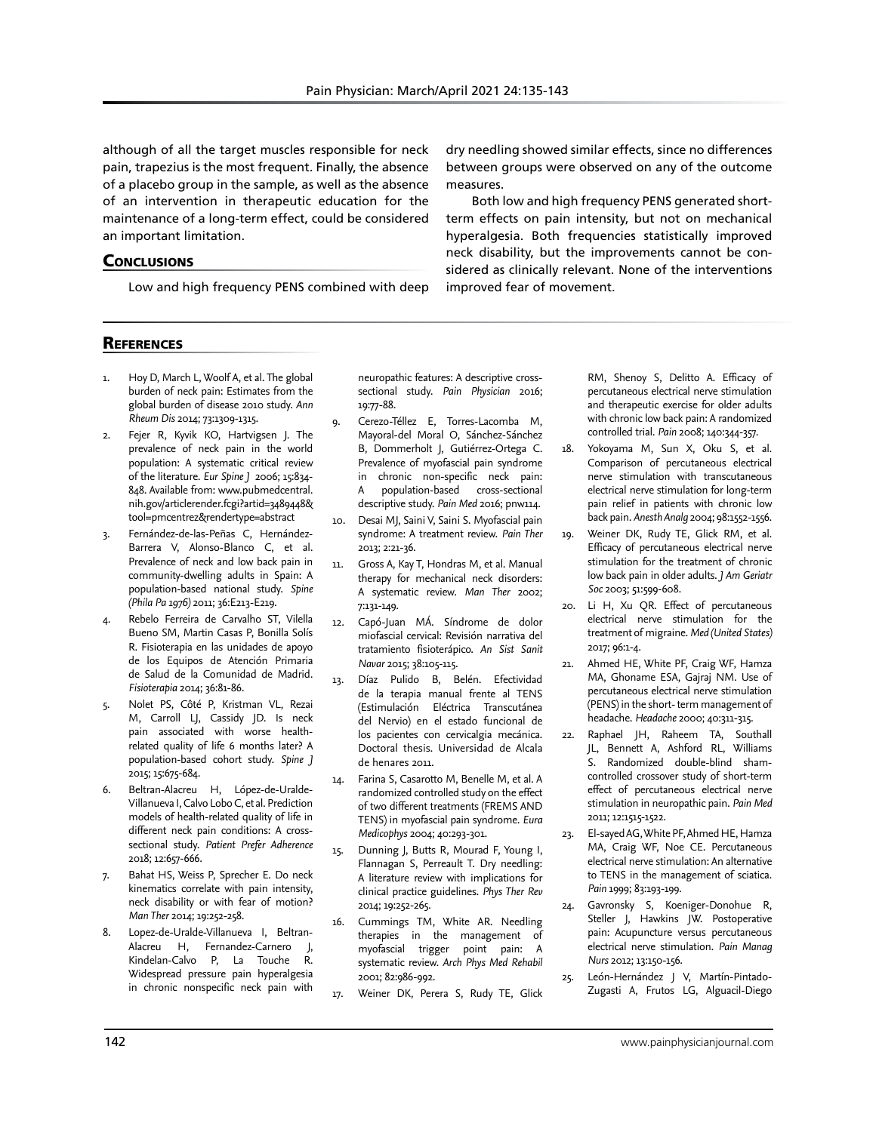improved fear of movement.

dry needling showed similar effects, since no differences between groups were observed on any of the outcome

Both low and high frequency PENS generated shortterm effects on pain intensity, but not on mechanical hyperalgesia. Both frequencies statistically improved neck disability, but the improvements cannot be considered as clinically relevant. None of the interventions

measures.

although of all the target muscles responsible for neck pain, trapezius is the most frequent. Finally, the absence of a placebo group in the sample, as well as the absence of an intervention in therapeutic education for the maintenance of a long-term effect, could be considered an important limitation.

#### **CONCLUSIONS**

Low and high frequency PENS combined with deep

# **REFERENCES**

- 1. Hoy D, March L, Woolf A, et al. The global burden of neck pain: Estimates from the global burden of disease 2010 study. *Ann Rheum Dis* 2014; 73:1309-1315.
- 2. Fejer R, Kyvik KO, Hartvigsen J. The prevalence of neck pain in the world population: A systematic critical review of the literature. *Eur Spine J* 2006; 15:834- 848. Available from: www.pubmedcentral. nih.gov/articlerender.fcgi?artid=3489448& tool=pmcentrez&rendertype=abstract
- 3. Fernández-de-las-Peñas C, Hernández-Barrera V, Alonso-Blanco C, et al. Prevalence of neck and low back pain in community-dwelling adults in Spain: A population-based national study. *Spine (Phila Pa 1976)* 2011; 36:E213-E219.
- Rebelo Ferreira de Carvalho ST, Vilella Bueno SM, Martin Casas P, Bonilla Solís R. Fisioterapia en las unidades de apoyo de los Equipos de Atención Primaria de Salud de la Comunidad de Madrid. *Fisioterapia* 2014; 36:81-86.
- 5. Nolet PS, Côté P, Kristman VL, Rezai M, Carroll LJ, Cassidy JD. Is neck pain associated with worse healthrelated quality of life 6 months later? A population-based cohort study. *Spine J*  2015; 15:675-684.
- 6. Beltran-Alacreu H, López-de-Uralde-Villanueva I, Calvo Lobo C, et al. Prediction models of health-related quality of life in different neck pain conditions: A crosssectional study. *Patient Prefer Adherence* 2018; 12:657-666.
- 7. Bahat HS, Weiss P, Sprecher E. Do neck kinematics correlate with pain intensity, neck disability or with fear of motion? *Man Ther* 2014; 19:252-258.
- 8. Lopez-de-Uralde-Villanueva I, Beltran-Alacreu H, Fernandez-Carnero J, Kindelan-Calvo P, La Touche R. Widespread pressure pain hyperalgesia in chronic nonspecific neck pain with

neuropathic features: A descriptive crosssectional study. *Pain Physician* 2016; 19:77-88.

- 9. Cerezo-Téllez E, Torres-Lacomba M, Mayoral-del Moral O, Sánchez-Sánchez B, Dommerholt J, Gutiérrez-Ortega C. Prevalence of myofascial pain syndrome in chronic non-specific neck pain: A population-based cross-sectional descriptive study. *Pain Med* 2016; pnw114.
- 10. Desai MJ, Saini V, Saini S. Myofascial pain syndrome: A treatment review. *Pain Ther* 2013; 2:21-36.
- 11. Gross A, Kay T, Hondras M, et al. Manual therapy for mechanical neck disorders: A systematic review. *Man Ther* 2002; 7:131-149.
- 12. Capó-Juan MÁ. Síndrome de dolor miofascial cervical: Revisión narrativa del tratamiento fisioterápico. *An Sist Sanit Navar* 2015; 38:105-115.
- 13. Díaz Pulido B, Belén. Efectividad de la terapia manual frente al TENS (Estimulación Eléctrica Transcutánea del Nervio) en el estado funcional de los pacientes con cervicalgia mecánica. Doctoral thesis. Universidad de Alcala de henares 2011.
- 14. Farina S, Casarotto M, Benelle M, et al. A randomized controlled study on the effect of two different treatments (FREMS AND TENS) in myofascial pain syndrome. *Eura Medicophys* 2004; 40:293-301.
- 15. Dunning J, Butts R, Mourad F, Young I, Flannagan S, Perreault T. Dry needling: A literature review with implications for clinical practice guidelines. *Phys Ther Rev* 2014; 19:252-265.
- 16. Cummings TM, White AR. Needling therapies in the management of myofascial trigger point pain: A systematic review. *Arch Phys Med Rehabil* 2001; 82:986-992.
- 17. Weiner DK, Perera S, Rudy TE, Glick

RM, Shenoy S, Delitto A. Efficacy of percutaneous electrical nerve stimulation and therapeutic exercise for older adults with chronic low back pain: A randomized controlled trial. *Pain* 2008; 140:344-357.

- 18. Yokoyama M, Sun X, Oku S, et al. Comparison of percutaneous electrical nerve stimulation with transcutaneous electrical nerve stimulation for long-term pain relief in patients with chronic low back pain. *Anesth Analg* 2004; 98:1552-1556.
- 19. Weiner DK, Rudy TE, Glick RM, et al. Efficacy of percutaneous electrical nerve stimulation for the treatment of chronic low back pain in older adults. *J Am Geriatr Soc* 2003; 51:599-608.
- 20. Li H, Xu QR. Effect of percutaneous electrical nerve stimulation for the treatment of migraine. *Med (United States)*  2017; 96:1-4.
- 21. Ahmed HE, White PF, Craig WF, Hamza MA, Ghoname ESA, Gajraj NM. Use of percutaneous electrical nerve stimulation (PENS) in the short- term management of headache. *Headache* 2000; 40:311-315.
- 22. Raphael JH, Raheem TA, Southall JL, Bennett A, Ashford RL, Williams S. Randomized double-blind shamcontrolled crossover study of short-term effect of percutaneous electrical nerve stimulation in neuropathic pain. *Pain Med* 2011; 12:1515-1522.
- 23. El-sayed AG, White PF, Ahmed HE, Hamza MA, Craig WF, Noe CE. Percutaneous electrical nerve stimulation: An alternative to TENS in the management of sciatica. *Pain* 1999; 83:193-199.
- 24. Gavronsky S, Koeniger-Donohue R, Steller J, Hawkins JW. Postoperative pain: Acupuncture versus percutaneous electrical nerve stimulation. *Pain Manag Nurs* 2012; 13:150-156.
- 25. León-Hernández J V, Martín-Pintado-Zugasti A, Frutos LG, Alguacil-Diego